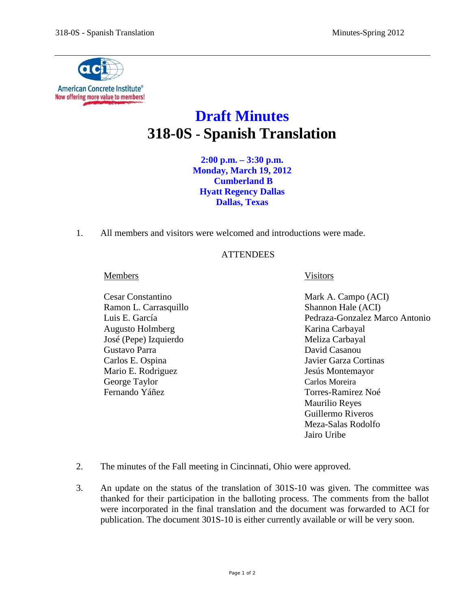

## **Draft Minutes 318-0S - Spanish Translation**

**2:00 p.m. – 3:30 p.m. Monday, March 19, 2012 Cumberland B Hyatt Regency Dallas Dallas, Texas**

1. All members and visitors were welcomed and introductions were made.

## **ATTENDEES**

## Members **Visitors**

Ramon L. Carrasquillo Shannon Hale (ACI) Augusto Holmberg Karina Carbayal José (Pepe) Izquierdo Meliza Carbayal Gustavo Parra David Casanou Carlos E. Ospina Javier Garza Cortinas Mario E. Rodriguez **International Studiers** Jesús Montemayor George Taylor Carlos Moreira Fernando Yáñez Torres-Ramirez Noé

- Cesar Constantino Mark A. Campo (ACI) Luis E. García Pedraza-Gonzalez Marco Antonio Maurilio Reyes Guillermo Riveros Meza-Salas Rodolfo Jairo Uribe
- 2. The minutes of the Fall meeting in Cincinnati, Ohio were approved.
- 3. An update on the status of the translation of 301S-10 was given. The committee was thanked for their participation in the balloting process. The comments from the ballot were incorporated in the final translation and the document was forwarded to ACI for publication. The document 301S-10 is either currently available or will be very soon.